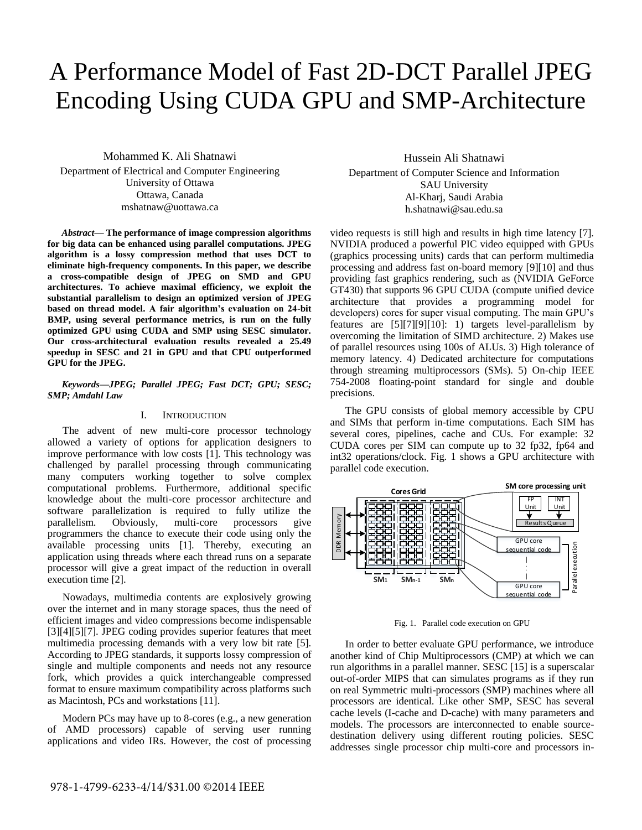# A Performance Model of Fast 2D-DCT Parallel JPEG Encoding Using CUDA GPU and SMP-Architecture

Mohammed K. Ali Shatnawi Department of Electrical and Computer Engineering University of Ottawa Ottawa, Canada mshatnaw@uottawa.ca

*Abstract***— The performance of image compression algorithms for big data can be enhanced using parallel computations. JPEG algorithm is a lossy compression method that uses DCT to eliminate high-frequency components. In this paper, we describe a cross-compatible design of JPEG on SMD and GPU architectures. To achieve maximal efficiency, we exploit the substantial parallelism to design an optimized version of JPEG based on thread model. A fair algorithm's evaluation on 24-bit BMP, using several performance metrics, is run on the fully optimized GPU using CUDA and SMP using SESC simulator. Our cross-architectural evaluation results revealed a 25.49 speedup in SESC and 21 in GPU and that CPU outperformed GPU for the JPEG.** 

# *Keywords—JPEG; Parallel JPEG; Fast DCT; GPU; SESC; SMP; Amdahl Law*

# I. INTRODUCTION

The advent of new multi-core processor technology allowed a variety of options for application designers to improve performance with low costs [1]. This technology was challenged by parallel processing through communicating many computers working together to solve complex computational problems. Furthermore, additional specific knowledge about the multi-core processor architecture and software parallelization is required to fully utilize the parallelism. Obviously, multi-core processors give programmers the chance to execute their code using only the available processing units [1]. Thereby, executing an application using threads where each thread runs on a separate processor will give a great impact of the reduction in overall execution time [2].

Nowadays, multimedia contents are explosively growing over the internet and in many storage spaces, thus the need of efficient images and video compressions become indispensable [3][4][5][7]. JPEG coding provides superior features that meet multimedia processing demands with a very low bit rate [5]. According to JPEG standards, it supports lossy compression of single and multiple components and needs not any resource fork, which provides a quick interchangeable compressed format to ensure maximum compatibility across platforms such as Macintosh, PCs and workstations [11].

Modern PCs may have up to 8-cores (e.g., a new generation of AMD processors) capable of serving user running applications and video IRs. However, the cost of processing

Hussein Ali Shatnawi Department of Computer Science and Information SAU University Al-Kharj, Saudi Arabia h.shatnawi@sau.edu.sa

video requests is still high and results in high time latency [7]. NVIDIA produced a powerful PIC video equipped with GPUs (graphics processing units) cards that can perform multimedia processing and address fast on-board memory [9][10] and thus providing fast graphics rendering, such as (NVIDIA GeForce GT430) that supports 96 GPU CUDA (compute unified device architecture that provides a programming model for developers) cores for super visual computing. The main GPU's features are [5][7][9][10]: 1) targets level-parallelism by overcoming the limitation of SIMD architecture. 2) Makes use of parallel resources using 100s of ALUs. 3) High tolerance of memory latency. 4) Dedicated architecture for computations through streaming multiprocessors (SMs). 5) On-chip IEEE 754-2008 floating-point standard for single and double precisions.

The GPU consists of global memory accessible by CPU and SIMs that perform in-time computations. Each SIM has several cores, pipelines, cache and CUs. For example: 32 CUDA cores per SIM can compute up to 32 fp32, fp64 and int32 operations/clock. Fig. 1 shows a GPU architecture with parallel code execution.



Fig. 1. Parallel code execution on GPU

In order to better evaluate GPU performance, we introduce another kind of Chip Multiprocessors (CMP) at which we can run algorithms in a parallel manner. SESC [15] is a superscalar out-of-order MIPS that can simulates programs as if they run on real Symmetric multi-processors (SMP) machines where all processors are identical. Like other SMP, SESC has several cache levels (I-cache and D-cache) with many parameters and models. The processors are interconnected to enable sourcedestination delivery using different routing policies. SESC addresses single processor chip multi-core and processors in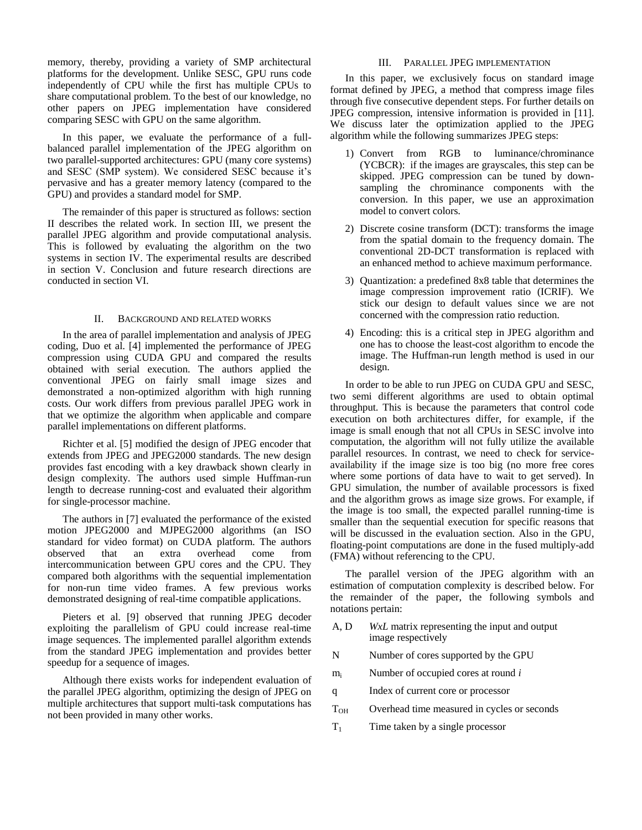memory, thereby, providing a variety of SMP architectural platforms for the development. Unlike SESC, GPU runs code independently of CPU while the first has multiple CPUs to share computational problem. To the best of our knowledge, no other papers on JPEG implementation have considered comparing SESC with GPU on the same algorithm.

In this paper, we evaluate the performance of a fullbalanced parallel implementation of the JPEG algorithm on two parallel-supported architectures: GPU (many core systems) and SESC (SMP system). We considered SESC because it's pervasive and has a greater memory latency (compared to the GPU) and provides a standard model for SMP.

The remainder of this paper is structured as follows: section II describes the related work. In section III, we present the parallel JPEG algorithm and provide computational analysis. This is followed by evaluating the algorithm on the two systems in section IV. The experimental results are described in section V. Conclusion and future research directions are conducted in section VI.

# II. BACKGROUND AND RELATED WORKS

In the area of parallel implementation and analysis of JPEG coding, Duo et al. [4] implemented the performance of JPEG compression using CUDA GPU and compared the results obtained with serial execution. The authors applied the conventional JPEG on fairly small image sizes and demonstrated a non-optimized algorithm with high running costs. Our work differs from previous parallel JPEG work in that we optimize the algorithm when applicable and compare parallel implementations on different platforms.

Richter et al. [5] modified the design of JPEG encoder that extends from JPEG and JPEG2000 standards. The new design provides fast encoding with a key drawback shown clearly in design complexity. The authors used simple Huffman-run length to decrease running-cost and evaluated their algorithm for single-processor machine.

The authors in [7] evaluated the performance of the existed motion JPEG2000 and MJPEG2000 algorithms (an ISO standard for video format) on CUDA platform. The authors observed that an extra overhead come from intercommunication between GPU cores and the CPU. They compared both algorithms with the sequential implementation for non-run time video frames. A few previous works demonstrated designing of real-time compatible applications.

Pieters et al. [9] observed that running JPEG decoder exploiting the parallelism of GPU could increase real-time image sequences. The implemented parallel algorithm extends from the standard JPEG implementation and provides better speedup for a sequence of images.

Although there exists works for independent evaluation of the parallel JPEG algorithm, optimizing the design of JPEG on multiple architectures that support multi-task computations has not been provided in many other works.

## III. PARALLEL JPEG IMPLEMENTATION

In this paper, we exclusively focus on standard image format defined by JPEG, a method that compress image files through five consecutive dependent steps. For further details on JPEG compression, intensive information is provided in [11]. We discuss later the optimization applied to the JPEG algorithm while the following summarizes JPEG steps:

- 1) Convert from RGB to luminance/chrominance (YCBCR): if the images are grayscales, this step can be skipped. JPEG compression can be tuned by downsampling the chrominance components with the conversion. In this paper, we use an approximation model to convert colors.
- 2) Discrete cosine transform (DCT): transforms the image from the spatial domain to the frequency domain. The conventional 2D-DCT transformation is replaced with an enhanced method to achieve maximum performance.
- 3) Quantization: a predefined 8x8 table that determines the image compression improvement ratio (ICRIF). We stick our design to default values since we are not concerned with the compression ratio reduction.
- 4) Encoding: this is a critical step in JPEG algorithm and one has to choose the least-cost algorithm to encode the image. The Huffman-run length method is used in our design.

In order to be able to run JPEG on CUDA GPU and SESC, two semi different algorithms are used to obtain optimal throughput. This is because the parameters that control code execution on both architectures differ, for example, if the image is small enough that not all CPUs in SESC involve into computation, the algorithm will not fully utilize the available parallel resources. In contrast, we need to check for serviceavailability if the image size is too big (no more free cores where some portions of data have to wait to get served). In GPU simulation, the number of available processors is fixed and the algorithm grows as image size grows. For example, if the image is too small, the expected parallel running-time is smaller than the sequential execution for specific reasons that will be discussed in the evaluation section. Also in the GPU, floating-point computations are done in the fused multiply-add (FMA) without referencing to the CPU.

The parallel version of the JPEG algorithm with an estimation of computation complexity is described below. For the remainder of the paper, the following symbols and notations pertain:

- A, D *WxL* matrix representing the input and output image respectively
- N Number of cores supported by the GPU
- m<sup>i</sup> Number of occupied cores at round *i*
- q Index of current core or processor
- T<sub>OH</sub> Overhead time measured in cycles or seconds
- $T_1$  Time taken by a single processor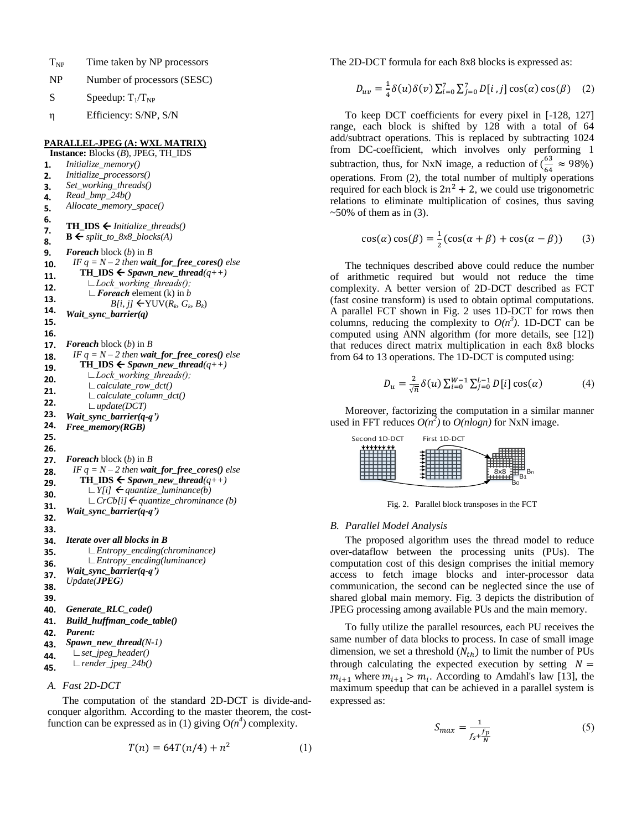- $T_{NP}$  Time taken by NP processors
- NP Number of processors (SESC)
- S Speedup:  $T_1/T_{NP}$
- η Efficiency: S/NP, S/N

# **PARALLEL-JPEG (A: WXL MATRIX)**

- **Instance:** Blocks (*B*), JPEG, TH\_IDS **1. 2. 3. 4. 5. 6. 7. 8.** *Initialize\_memory() Initialize\_processors() Set\_working\_threads() Read\_bmp\_24b() Allocate\_memory\_space()* **TH\_IDS**  $\leftarrow$  *Initialize\_threads()*  $\mathbf{B} \leftarrow \text{split\_to\_8x8\_blocks}(A)$ **9. 10. 11. 12. 13. 14. 15. 16.** *Foreach* block (*b*) in *B IF*  $q = N - 2$  *then wait\_for\_free\_cores() else* **TH\_IDS**  $\leftarrow$  *Spawn\_new\_thread*( $q$ ++)  *∟Lock\_working\_threads(); ∟Foreach* element (k) in *b*  $B[i, j] \leftarrow \text{YUV}(R_k, G_k, B_k)$ *Wait\_sync\_barrier(q)* **17. 18. 19. 20. 21. 22. 23. 24. 25. 26.** *Foreach* block (*b*) in *B IF*  $q = N - 2$  *then wait\_for\_free\_cores() else* **TH\_IDS**  $\leftarrow$  *Spawn\_new\_thread*(*q++) ∟Lock\_working\_threads(); ∟calculate\_row\_dct() ∟calculate\_column\_dct() ∟update(DCT) Wait\_sync\_barrier(q-q') Free\_memory(RGB)* **27. 28. 29. 30. 31. 32. 33.** *Foreach* block (*b*) in *B IF*  $q = N - 2$  *then wait\_for\_free\_cores() else* **TH\_IDS**  $\leftarrow$  *Spawn\_new\_thread*( $q$ ++) *∟Y[i] quantize\_luminance(b) ∟CrCb[i] quantize\_chrominance (b) Wait\_sync\_barrier(q-q')* **34. 35. 36. 37. 38. 39.** *Iterate over all blocks in B ∟Entropy\_encding(chrominance) ∟Entropy\_encding(luminance) Wait\_sync\_barrier(q-q') Update(JPEG)* **40.** *Generate\_RLC\_code()* **41.** *Build\_huffman\_code\_table()* **42. 43. 44. 45.** *Parent: Spawn\_new\_thread(N-1) ∟set\_jpeg\_header() ∟render\_jpeg\_24b()*
- *A. Fast 2D-DCT*

The computation of the standard 2D-DCT is divide-andconquer algorithm. According to the master theorem, the costfunction can be expressed as in (1) giving  $O(n^4)$  complexity.

$$
T(n) = 64T(n/4) + n^2
$$
 (1)

The 2D-DCT formula for each 8x8 blocks is expressed as:

$$
D_{uv} = \frac{1}{4} \delta(u) \delta(v) \sum_{i=0}^{7} \sum_{j=0}^{7} D[i,j] \cos(\alpha) \cos(\beta) \quad (2)
$$

To keep DCT coefficients for every pixel in [-128, 127] range, each block is shifted by 128 with a total of 64 add/subtract operations. This is replaced by subtracting 1024 from DC-coefficient, which involves only performing 1 subtraction, thus, for NxN image, a reduction of  $(\frac{6}{5})$  $\frac{63}{64} \approx 98\%)$ operations. From (2), the total number of multiply operations required for each block is  $2n^2 + 2$ , we could use trigonometric relations to eliminate multiplication of cosines, thus saving  $\sim$ 50% of them as in (3).

$$
\cos(\alpha)\cos(\beta) = \frac{1}{2}(\cos(\alpha + \beta) + \cos(\alpha - \beta))
$$
 (3)

The techniques described above could reduce the number of arithmetic required but would not reduce the time complexity. A better version of 2D-DCT described as FCT (fast cosine transform) is used to obtain optimal computations. A parallel FCT shown in Fig. 2 uses 1D-DCT for rows then columns, reducing the complexity to  $O(n^3)$ . 1D-DCT can be computed using ANN algorithm (for more details, see [12]) that reduces direct matrix multiplication in each 8x8 blocks from 64 to 13 operations. The 1D-DCT is computed using:

$$
D_u = \frac{2}{\sqrt{n}} \delta(u) \sum_{i=0}^{W-1} \sum_{j=0}^{L-1} D[i] \cos(\alpha)
$$
 (4)

Moreover, factorizing the computation in a similar manner used in FFT reduces  $O(n^2)$  to  $O(n \log n)$  for NxN image.



Fig. 2. Parallel block transposes in the FCT

#### *B. Parallel Model Analysis*

The proposed algorithm uses the thread model to reduce over-dataflow between the processing units (PUs). The computation cost of this design comprises the initial memory access to fetch image blocks and inter-processor data communication, the second can be neglected since the use of shared global main memory. Fig. 3 depicts the distribution of JPEG processing among available PUs and the main memory.

To fully utilize the parallel resources, each PU receives the same number of data blocks to process. In case of small image dimension, we set a threshold  $(N_{th})$  to limit the number of PUs through calculating the expected execution by setting  $N =$  $m_{i+1}$  where  $m_{i+1} > m_i$ . According to Amdahl's law [13], the maximum speedup that can be achieved in a parallel system is expressed as:

$$
S_{max} = \frac{1}{f_s + \frac{f_p}{N}}
$$
 (5)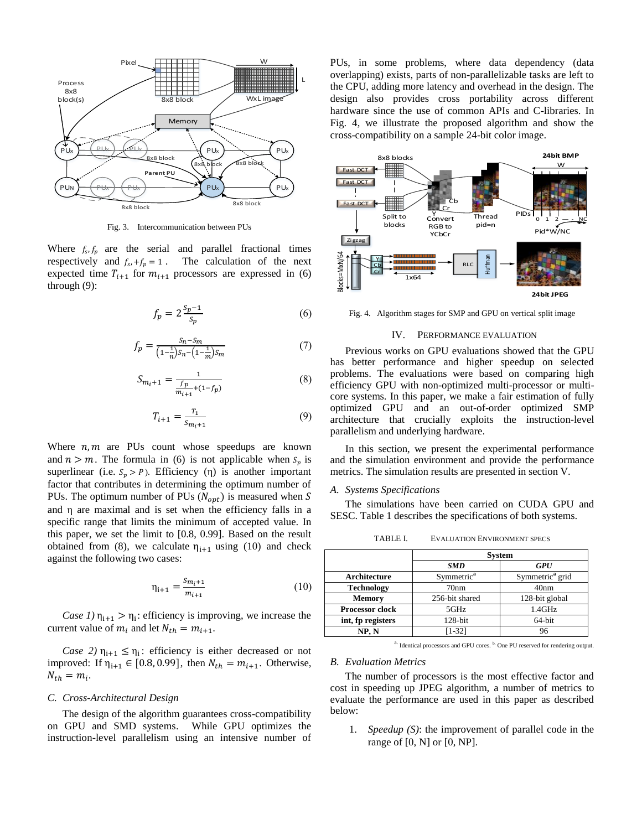

Fig. 3. Intercommunication between PUs

Where  $f_s$ ,  $f_p$  are the serial and parallel fractional times respectively and  $f_s$ ,  $+f_p = 1$ . The calculation of the next expected time  $T_{i+1}$  for  $m_{i+1}$  processors are expressed in (6) through (9):

$$
f_p = 2\frac{s_p - 1}{s_p} \tag{6}
$$

$$
f_p = \frac{s_n - s_m}{\left(1 - \frac{1}{n}\right)s_n - \left(1 - \frac{1}{m}\right)s_m} \tag{7}
$$

$$
S_{m_i+1} = \frac{1}{\frac{fp}{m_{i+1} + (1 - fp)}}
$$
(8)

$$
T_{i+1} = \frac{T_1}{S_{m_i+1}}\tag{9}
$$

Where  $n, m$  are PUs count whose speedups are known and  $n > m$ . The formula in (6) is not applicable when  $S_n$  is superlinear (i.e.  $S_p > P$ ). Efficiency (η) is another important factor that contributes in determining the optimum number of PUs. The optimum number of PUs ( $N_{opt}$ ) is measured when S and η are maximal and is set when the efficiency falls in a specific range that limits the minimum of accepted value. In this paper, we set the limit to [0.8, 0.99]. Based on the result obtained from (8), we calculate  $\eta_{i+1}$  using (10) and check against the following two cases:

$$
\eta_{i+1} = \frac{s_{m_i+1}}{m_{i+1}} \tag{10}
$$

*Case 1*)  $\eta_{i+1} > \eta_i$ : efficiency is improving, we increase the current value of  $m_i$  and let  $N_{th} = m_{i+1}$ .

*Case 2)*  $\eta_{i+1} \leq \eta_i$ : efficiency is either decreased or not improved: If  $\eta_{i+1} \in [0.8, 0.99]$ , then  $N_{th} = m_{i+1}$ . Otherwise,  $N_{th} = m_i$ .

# *C. Cross-Architectural Design*

The design of the algorithm guarantees cross-compatibility on GPU and SMD systems. While GPU optimizes the instruction-level parallelism using an intensive number of PUs, in some problems, where data dependency (data overlapping) exists, parts of non-parallelizable tasks are left to the CPU, adding more latency and overhead in the design. The design also provides cross portability across different hardware since the use of common APIs and C-libraries. In Fig. 4, we illustrate the proposed algorithm and show the cross-compatibility on a sample 24-bit color image.



Fig. 4. Algorithm stages for SMP and GPU on vertical split image

## IV. PERFORMANCE EVALUATION

Previous works on GPU evaluations showed that the GPU has better performance and higher speedup on selected problems. The evaluations were based on comparing high efficiency GPU with non-optimized multi-processor or multicore systems. In this paper, we make a fair estimation of fully optimized GPU and an out-of-order optimized SMP architecture that crucially exploits the instruction-level parallelism and underlying hardware.

In this section, we present the experimental performance and the simulation environment and provide the performance metrics. The simulation results are presented in section V.

# *A. Systems Specifications*

The simulations have been carried on CUDA GPU and SESC. Table 1 describes the specifications of both systems.

|                        | <b>System</b>          |                             |  |
|------------------------|------------------------|-----------------------------|--|
|                        | <b>SMD</b>             | <b>GPU</b>                  |  |
| Architecture           | Symmetric <sup>a</sup> | Symmetric <sup>a</sup> grid |  |
| <b>Technology</b>      | 70nm                   | 40 <sub>nm</sub>            |  |
| <b>Memory</b>          | 256-bit shared         | 128-bit global              |  |
| <b>Processor clock</b> | 5GHz                   | 1.4GHz                      |  |
| int, fp registers      | $128$ -bit             | 64-bit                      |  |
| NP, N                  | $[1-32]$               | 96                          |  |

TABLE I. EVALUATION ENVIRONMENT SPECS

a. Identical processors and GPU cores.  $b$ . One PU reserved for rendering output.

## *B. Evaluation Metrics*

The number of processors is the most effective factor and cost in speeding up JPEG algorithm, a number of metrics to evaluate the performance are used in this paper as described below:

1. *Speedup (S)*: the improvement of parallel code in the range of [0, N] or [0, NP].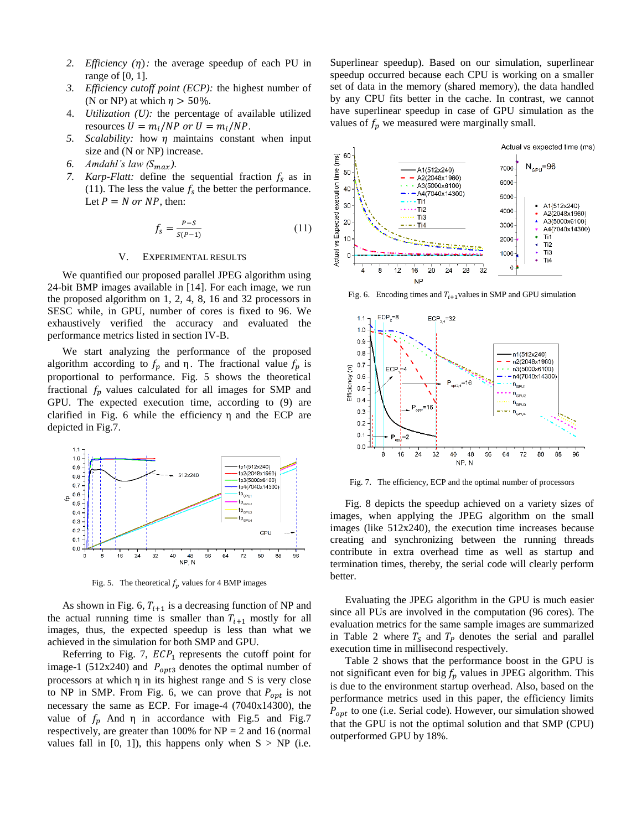- *2. Efficiency*  $(\eta)$ : the average speedup of each PU in range of [0, 1].
- *3. Efficiency cutoff point (ECP):* the highest number of (N or NP) at which  $\eta > 50\%$ .
- 4. *Utilization (U):* the percentage of available utilized resources  $U = m_i / NP$  or  $U = m_i / NP$ .
- *5. Scalability:* how  $\eta$  maintains constant when input size and (N or NP) increase.
- 6. *Amdahl's law*  $(S_{max})$ .
- *7. Karp-Flatt:* define the sequential fraction  $f_s$  as in (11). The less the value  $f_s$  the better the performance. Let  $P = N$  or NP, then:

$$
f_s = \frac{P - S}{S(P - 1)}\tag{11}
$$

## V. EXPERIMENTAL RESULTS

We quantified our proposed parallel JPEG algorithm using 24-bit BMP images available in [14]. For each image, we run the proposed algorithm on 1, 2, 4, 8, 16 and 32 processors in SESC while, in GPU, number of cores is fixed to 96. We exhaustively verified the accuracy and evaluated the performance metrics listed in section IV-B.

We start analyzing the performance of the proposed algorithm according to  $f_p$  and  $\eta$ . The fractional value  $f_p$  is proportional to performance. Fig. 5 shows the theoretical fractional  $f_p$  values calculated for all images for SMP and GPU. The expected execution time, according to (9) are clarified in Fig. 6 while the efficiency  $\eta$  and the ECP are depicted in Fig.7.



Fig. 5. The theoretical  $f_p$  values for 4 BMP images

As shown in Fig. 6,  $T_{i+1}$  is a decreasing function of NP and the actual running time is smaller than  $T_{i+1}$  mostly for all images, thus, the expected speedup is less than what we achieved in the simulation for both SMP and GPU.

Referring to Fig. 7,  $ECP_1$  represents the cutoff point for image-1 (512x240) and  $P_{opt3}$  denotes the optimal number of processors at which  $\eta$  in its highest range and S is very close to NP in SMP. From Fig. 6, we can prove that  $P_{\text{opt}}$  is not necessary the same as ECP. For image-4 (7040x14300), the value of  $f_p$  And  $\eta$  in accordance with Fig.5 and Fig.7 respectively, are greater than 100% for NP = 2 and 16 (normal values fall in  $[0, 1]$ ), this happens only when  $S > NP$  (i.e.

Superlinear speedup). Based on our simulation, superlinear speedup occurred because each CPU is working on a smaller set of data in the memory (shared memory), the data handled by any CPU fits better in the cache. In contrast, we cannot have superlinear speedup in case of GPU simulation as the values of  $f_n$  we measured were marginally small.



Fig. 6. Encoding times and  $T_{i+1}$  values in SMP and GPU simulation



Fig. 7. The efficiency, ECP and the optimal number of processors

Fig. 8 depicts the speedup achieved on a variety sizes of images, when applying the JPEG algorithm on the small images (like 512x240), the execution time increases because creating and synchronizing between the running threads contribute in extra overhead time as well as startup and termination times, thereby, the serial code will clearly perform better.

Evaluating the JPEG algorithm in the GPU is much easier since all PUs are involved in the computation (96 cores). The evaluation metrics for the same sample images are summarized in Table 2 where  $T_s$  and  $T_p$  denotes the serial and parallel execution time in millisecond respectively.

Table 2 shows that the performance boost in the GPU is not significant even for big  $f_p$  values in JPEG algorithm. This is due to the environment startup overhead. Also, based on the performance metrics used in this paper, the efficiency limits  $P_{\text{ont}}$  to one (i.e. Serial code). However, our simulation showed that the GPU is not the optimal solution and that SMP (CPU) outperformed GPU by 18%.